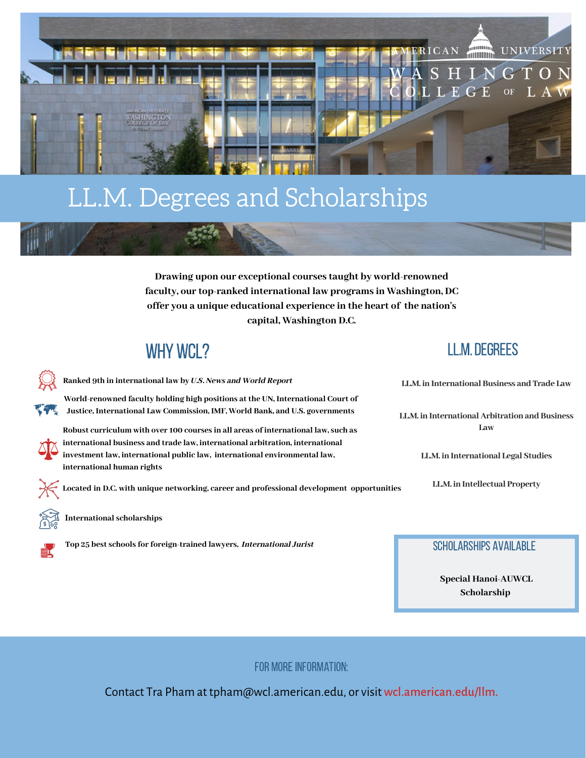

## LL.M. Degrees and Scholarships

**Drawing upon our exceptional courses taught by world-renowned faculty, our top-ranked international law programs in Washington, DC offer you a unique educational experience in the heart of the nation's capital, Washington D.C.**

### WHY WCL?

**Ranked 9th in international law by** U.S. News and World Report

**World-renowned faculty holding high positions at the UN, International Court of Justice, International Law Commission, IMF, World Bank, and U.S. governments**

**Robust curriculum with over 100 courses in all areas of international law, such as international business and trade law, international arbitration, international investment law, international public law, international environmental law, international human rights**

 **Located in D.C. with unique networking, career and professional development opportunities**

**International scholarships**



**Top 25 best schools for foreign-trained lawyers,** International Jurist

LL.M. Degrees

**LL.M. in International Business and Trade Law**

**LL.M. in International Arbitration and Business Law**

**LL.M. in International Legal Studies**

**LL.M. in Intellectual Property**

Scholarships Available

 **Special Hanoi-AUWCL Scholarship**

FOR MORE INFORMATION:

Contact Tra Pham at tpham@wcl.american.edu, or visit wcl.american.edu/llm.